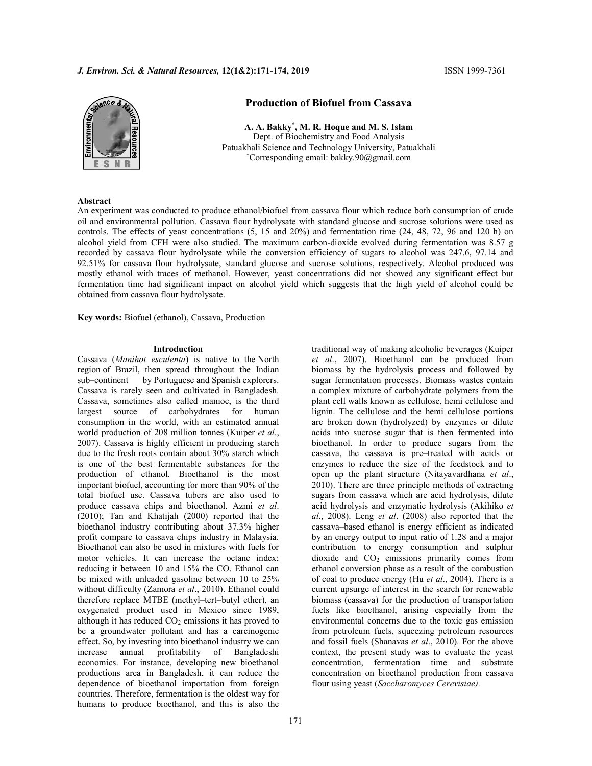# J. Environ. Sci. & Natural Resources, 12(1&2):171-174, 2019 ISSN 1999-7361



# Production of Biofuel from Cassava

A. A. Bakky\* , M. R. Hoque and M. S. Islam Dept. of Biochemistry and Food Analysis Patuakhali Science and Technology University, Patuakhali \*Corresponding email: bakky.90@gmail.com

# Abstract

An experiment was conducted to produce ethanol/biofuel from cassava flour which reduce both consumption of crude oil and environmental pollution. Cassava flour hydrolysate with standard glucose and sucrose solutions were used as controls. The effects of yeast concentrations (5, 15 and 20%) and fermentation time (24, 48, 72, 96 and 120 h) on alcohol yield from CFH were also studied. The maximum carbon-dioxide evolved during fermentation was 8.57 g recorded by cassava flour hydrolysate while the conversion efficiency of sugars to alcohol was 247.6, 97.14 and 92.51% for cassava flour hydrolysate, standard glucose and sucrose solutions, respectively. Alcohol produced was mostly ethanol with traces of methanol. However, yeast concentrations did not showed any significant effect but fermentation time had significant impact on alcohol yield which suggests that the high yield of alcohol could be obtained from cassava flour hydrolysate.

Key words: Biofuel (ethanol), Cassava, Production

#### Introduction

Cassava (Manihot esculenta) is native to the North region of Brazil, then spread throughout the Indian sub–continent by Portuguese and Spanish explorers. Cassava is rarely seen and cultivated in Bangladesh. Cassava, sometimes also called manioc, is the third largest source of carbohydrates for human consumption in the world, with an estimated annual world production of 208 million tonnes (Kuiper et al., 2007). Cassava is highly efficient in producing starch due to the fresh roots contain about 30% starch which is one of the best fermentable substances for the production of ethanol. Bioethanol is the most important biofuel, accounting for more than 90% of the total biofuel use. Cassava tubers are also used to produce cassava chips and bioethanol. Azmi et al. (2010); Tan and Khatijah (2000) reported that the bioethanol industry contributing about 37.3% higher profit compare to cassava chips industry in Malaysia. Bioethanol can also be used in mixtures with fuels for motor vehicles. It can increase the octane index; reducing it between 10 and 15% the CO. Ethanol can be mixed with unleaded gasoline between 10 to 25% without difficulty (Zamora et al., 2010). Ethanol could therefore replace MTBE (methyl–tert–butyl ether), an oxygenated product used in Mexico since 1989, although it has reduced  $CO<sub>2</sub>$  emissions it has proved to be a groundwater pollutant and has a carcinogenic effect. So, by investing into bioethanol industry we can increase annual profitability of Bangladeshi economics. For instance, developing new bioethanol productions area in Bangladesh, it can reduce the dependence of bioethanol importation from foreign countries. Therefore, fermentation is the oldest way for humans to produce bioethanol, and this is also the

traditional way of making alcoholic beverages (Kuiper et al., 2007). Bioethanol can be produced from biomass by the hydrolysis process and followed by sugar fermentation processes. Biomass wastes contain a complex mixture of carbohydrate polymers from the plant cell walls known as cellulose, hemi cellulose and lignin. The cellulose and the hemi cellulose portions are broken down (hydrolyzed) by enzymes or dilute acids into sucrose sugar that is then fermented into bioethanol. In order to produce sugars from the cassava, the cassava is pre–treated with acids or enzymes to reduce the size of the feedstock and to open up the plant structure (Nitayavardhana et al., 2010). There are three principle methods of extracting sugars from cassava which are acid hydrolysis, dilute acid hydrolysis and enzymatic hydrolysis (Akihiko et al., 2008). Leng et al. (2008) also reported that the cassava–based ethanol is energy efficient as indicated by an energy output to input ratio of 1.28 and a major contribution to energy consumption and sulphur dioxide and CO2 emissions primarily comes from ethanol conversion phase as a result of the combustion of coal to produce energy (Hu et al., 2004). There is a current upsurge of interest in the search for renewable biomass (cassava) for the production of transportation fuels like bioethanol, arising especially from the environmental concerns due to the toxic gas emission from petroleum fuels, squeezing petroleum resources and fossil fuels (Shanavas et al., 2010). For the above context, the present study was to evaluate the yeast concentration, fermentation time and substrate concentration on bioethanol production from cassava flour using yeast (Saccharomyces Cerevisiae).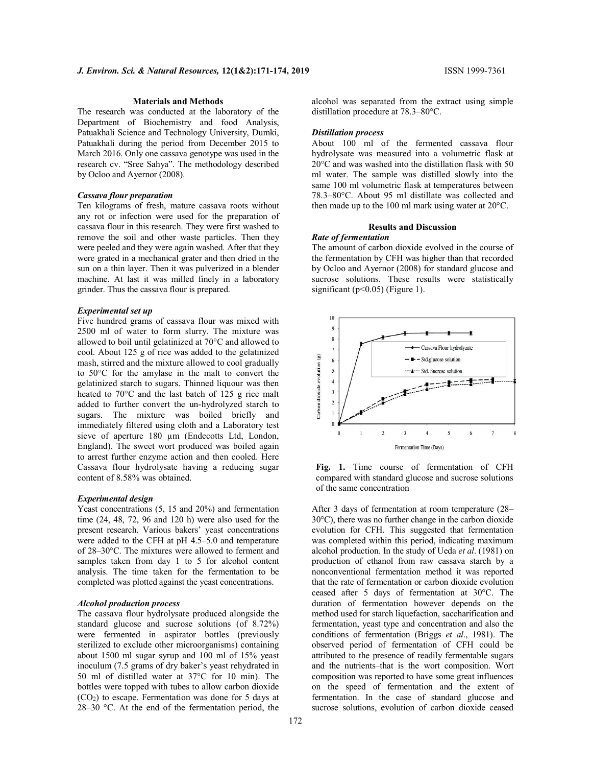# Materials and Methods

The research was conducted at the laboratory of the Department of Biochemistry and food Analysis, Patuakhali Science and Technology University, Dumki, Patuakhali during the period from December 2015 to March 2016. Only one cassava genotype was used in the research cv. "Sree Sahya". The methodology described by Ocloo and Ayernor (2008).

### Cassava flour preparation

Ten kilograms of fresh, mature cassava roots without any rot or infection were used for the preparation of cassava flour in this research. They were first washed to remove the soil and other waste particles. Then they were peeled and they were again washed. After that they were grated in a mechanical grater and then dried in the sun on a thin layer. Then it was pulverized in a blender machine. At last it was milled finely in a laboratory grinder. Thus the cassava flour is prepared.

#### Experimental set up

Five hundred grams of cassava flour was mixed with 2500 ml of water to form slurry. The mixture was allowed to boil until gelatinized at 70°C and allowed to cool. About 125 g of rice was added to the gelatinized mash, stirred and the mixture allowed to cool gradually to 50°C for the amylase in the malt to convert the gelatinized starch to sugars. Thinned liquour was then heated to 70°C and the last batch of 125 g rice malt added to further convert the un-hydrolyzed starch to sugars. The mixture was boiled briefly and immediately filtered using cloth and a Laboratory test sieve of aperture 180 µm (Endecotts Ltd, London, England). The sweet wort produced was boiled again to arrest further enzyme action and then cooled. Here Cassava flour hydrolysate having a reducing sugar content of 8.58% was obtained.

#### Experimental design

Yeast concentrations (5, 15 and 20%) and fermentation time (24, 48, 72, 96 and 120 h) were also used for the present research. Various bakers' yeast concentrations were added to the CFH at pH 4.5–5.0 and temperature of 28–30°C. The mixtures were allowed to ferment and samples taken from day 1 to 5 for alcohol content analysis. The time taken for the fermentation to be completed was plotted against the yeast concentrations.

#### Alcohol production process

The cassava flour hydrolysate produced alongside the standard glucose and sucrose solutions (of 8.72%) were fermented in aspirator bottles (previously sterilized to exclude other microorganisms) containing about 1500 ml sugar syrup and 100 ml of 15% yeast inoculum (7.5 grams of dry baker's yeast rehydrated in 50 ml of distilled water at 37°C for 10 min). The bottles were topped with tubes to allow carbon dioxide  $(CO<sub>2</sub>)$  to escape. Fermentation was done for 5 days at 28–30 °C. At the end of the fermentation period, the

alcohol was separated from the extract using simple distillation procedure at 78.3–80°C.

#### Distillation process

About 100 ml of the fermented cassava flour hydrolysate was measured into a volumetric flask at 20°C and was washed into the distillation flask with 50 ml water. The sample was distilled slowly into the same 100 ml volumetric flask at temperatures between 78.3–80°C. About 95 ml distillate was collected and then made up to the 100 ml mark using water at 20°C.

#### Results and Discussion

#### Rate of fermentation

The amount of carbon dioxide evolved in the course of the fermentation by CFH was higher than that recorded by Ocloo and Ayernor (2008) for standard glucose and sucrose solutions. These results were statistically significant ( $p<0.05$ ) (Figure 1).



Fig. 1. Time course of fermentation of CFH compared with standard glucose and sucrose solutions of the same concentration

After 3 days of fermentation at room temperature (28– 30°C), there was no further change in the carbon dioxide evolution for CFH. This suggested that fermentation was completed within this period, indicating maximum alcohol production. In the study of Ueda et al. (1981) on production of ethanol from raw cassava starch by a nonconventional fermentation method it was reported that the rate of fermentation or carbon dioxide evolution ceased after 5 days of fermentation at 30°C. The duration of fermentation however depends on the method used for starch liquefaction, saccharification and fermentation, yeast type and concentration and also the conditions of fermentation (Briggs et al., 1981). The observed period of fermentation of CFH could be attributed to the presence of readily fermentable sugars and the nutrients–that is the wort composition. Wort composition was reported to have some great influences on the speed of fermentation and the extent of fermentation. In the case of standard glucose and sucrose solutions, evolution of carbon dioxide ceased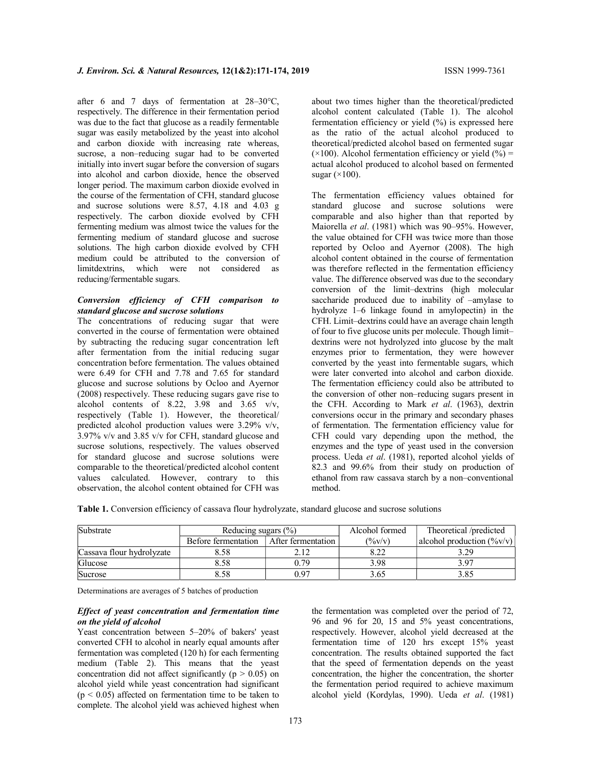after 6 and 7 days of fermentation at 28–30°C, respectively. The difference in their fermentation period was due to the fact that glucose as a readily fermentable sugar was easily metabolized by the yeast into alcohol and carbon dioxide with increasing rate whereas, sucrose, a non–reducing sugar had to be converted initially into invert sugar before the conversion of sugars into alcohol and carbon dioxide, hence the observed longer period. The maximum carbon dioxide evolved in the course of the fermentation of CFH, standard glucose and sucrose solutions were 8.57, 4.18 and 4.03 g respectively. The carbon dioxide evolved by CFH fermenting medium was almost twice the values for the fermenting medium of standard glucose and sucrose solutions. The high carbon dioxide evolved by CFH medium could be attributed to the conversion of limitdextrins, which were not considered as reducing/fermentable sugars.

#### Conversion efficiency of CFH comparison to standard glucose and sucrose solutions

The concentrations of reducing sugar that were converted in the course of fermentation were obtained by subtracting the reducing sugar concentration left after fermentation from the initial reducing sugar concentration before fermentation. The values obtained were 6.49 for CFH and 7.78 and 7.65 for standard glucose and sucrose solutions by Ocloo and Ayernor (2008) respectively. These reducing sugars gave rise to alcohol contents of 8.22, 3.98 and 3.65 v/v, respectively (Table 1). However, the theoretical/ predicted alcohol production values were 3.29% v/v, 3.97% v/v and 3.85 v/v for CFH, standard glucose and sucrose solutions, respectively. The values observed for standard glucose and sucrose solutions were comparable to the theoretical/predicted alcohol content values calculated. However, contrary to this observation, the alcohol content obtained for CFH was

about two times higher than the theoretical/predicted alcohol content calculated (Table 1). The alcohol fermentation efficiency or yield (%) is expressed here as the ratio of the actual alcohol produced to theoretical/predicted alcohol based on fermented sugar  $(\times 100)$ . Alcohol fermentation efficiency or yield (%) = actual alcohol produced to alcohol based on fermented sugar  $(\times 100)$ .

The fermentation efficiency values obtained for standard glucose and sucrose solutions were comparable and also higher than that reported by Maiorella et al. (1981) which was 90-95%. However, the value obtained for CFH was twice more than those reported by Ocloo and Ayernor (2008). The high alcohol content obtained in the course of fermentation was therefore reflected in the fermentation efficiency value. The difference observed was due to the secondary conversion of the limit–dextrins (high molecular saccharide produced due to inability of –amylase to hydrolyze 1–6 linkage found in amylopectin) in the CFH. Limit–dextrins could have an average chain length of four to five glucose units per molecule. Though limit– dextrins were not hydrolyzed into glucose by the malt enzymes prior to fermentation, they were however converted by the yeast into fermentable sugars, which were later converted into alcohol and carbon dioxide. The fermentation efficiency could also be attributed to the conversion of other non–reducing sugars present in the CFH. According to Mark et al. (1963), dextrin conversions occur in the primary and secondary phases of fermentation. The fermentation efficiency value for CFH could vary depending upon the method, the enzymes and the type of yeast used in the conversion process. Ueda et al. (1981), reported alcohol yields of 82.3 and 99.6% from their study on production of ethanol from raw cassava starch by a non–conventional method.

Table 1. Conversion efficiency of cassava flour hydrolyzate, standard glucose and sucrose solutions

| Substrate                 | Reducing sugars $(\% )$ |                      | Alcohol formed     | Theoretical /predicted                                    |  |
|---------------------------|-------------------------|----------------------|--------------------|-----------------------------------------------------------|--|
|                           | Before fermentation     | After fermentation I | $(\frac{9}{6}V/V)$ | alcohol production $(\frac{6}{\nu}\mathbf{v}/\mathbf{v})$ |  |
| Cassava flour hydrolyzate | 8.58                    |                      |                    | 3.29                                                      |  |
| Glucose                   | 8.58                    | 0.79                 | 3.98               | 3.97                                                      |  |
| Sucrose                   | 8.58                    | 0.97                 | 3.65               | 3.85                                                      |  |

Determinations are averages of 5 batches of production

### Effect of yeast concentration and fermentation time on the yield of alcohol

Yeast concentration between 5–20% of bakers' yeast converted CFH to alcohol in nearly equal amounts after fermentation was completed (120 h) for each fermenting medium (Table 2). This means that the yeast concentration did not affect significantly ( $p > 0.05$ ) on alcohol yield while yeast concentration had significant  $(p \le 0.05)$  affected on fermentation time to be taken to complete. The alcohol yield was achieved highest when

the fermentation was completed over the period of 72, 96 and 96 for 20, 15 and 5% yeast concentrations, respectively. However, alcohol yield decreased at the fermentation time of 120 hrs except 15% yeast concentration. The results obtained supported the fact that the speed of fermentation depends on the yeast concentration, the higher the concentration, the shorter the fermentation period required to achieve maximum alcohol yield (Kordylas, 1990). Ueda et al. (1981)